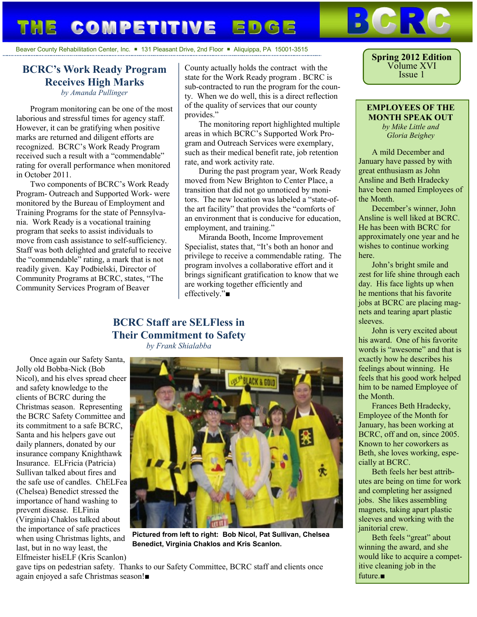# **COMPETITIVE EDGE**

#### Beaver County Rehabilitation Center, Inc.  $\blacksquare$  131 Pleasant Drive, 2nd Floor  $\blacksquare$  Aliquippa, PA 15001-3515

### **BCRC's Work Ready Program Receives High Marks**

*by Amanda Pullinger*

Program monitoring can be one of the most laborious and stressful times for agency staff. However, it can be gratifying when positive marks are returned and diligent efforts are recognized. BCRC's Work Ready Program received such a result with a "commendable" rating for overall performance when monitored in October 2011.

Two components of BCRC's Work Ready Program- Outreach and Supported Work- were monitored by the Bureau of Employment and Training Programs for the state of Pennsylvania. Work Ready is a vocational training program that seeks to assist individuals to move from cash assistance to self-sufficiency. Staff was both delighted and grateful to receive the "commendable" rating, a mark that is not readily given. Kay Podbielski, Director of Community Programs at BCRC, states, "The Community Services Program of Beaver

County actually holds the contract with the state for the Work Ready program . BCRC is sub-contracted to run the program for the county. When we do well, this is a direct reflection of the quality of services that our county provides."

The monitoring report highlighted multiple areas in which BCRC's Supported Work Program and Outreach Services were exemplary, such as their medical benefit rate, job retention rate, and work activity rate.

During the past program year, Work Ready moved from New Brighton to Center Place, a transition that did not go unnoticed by monitors. The new location was labeled a "state-ofthe art facility" that provides the "comforts of an environment that is conducive for education, employment, and training."

Miranda Booth, Income Improvement Specialist, states that, "It's both an honor and privilege to receive a commendable rating. The program involves a collaborative effort and it brings significant gratification to know that we are working together efficiently and effectively."■

### **BCRC Staff are SELFless in Their Commitment to Safety**

*by Frank Shialabba*

Once again our Safety Santa, Jolly old Bobba-Nick (Bob Nicol), and his elves spread cheer and safety knowledge to the clients of BCRC during the Christmas season. Representing the BCRC Safety Committee and its commitment to a safe BCRC, Santa and his helpers gave out daily planners, donated by our insurance company Knighthawk Insurance. ELFricia (Patricia) Sullivan talked about fires and the safe use of candles. ChELFea (Chelsea) Benedict stressed the importance of hand washing to prevent disease. ELFinia (Virginia) Chaklos talked about the importance of safe practices when using Christmas lights, and last, but in no way least, the Elfmeister hisELF (Kris Scanlon)



**Pictured from left to right: Bob Nicol, Pat Sullivan, Chelsea Benedict, Virginia Chaklos and Kris Scanlon.**

gave tips on pedestrian safety. Thanks to our Safety Committee, BCRC staff and clients once again enjoyed a safe Christmas season!■

**Spring 2012 Edition** Volume XVI Issue 1

**EMPLOYEES OF THE MONTH SPEAK OUT** *by Mike Little and Gloria Beighey*

A mild December and January have passed by with great enthusiasm as John Ansline and Beth Hradecky have been named Employees of the Month.

December's winner, John Ansline is well liked at BCRC. He has been with BCRC for approximately one year and he wishes to continue working here.

John's bright smile and zest for life shine through each day. His face lights up when he mentions that his favorite jobs at BCRC are placing magnets and tearing apart plastic sleeves.

John is very excited about his award. One of his favorite words is "awesome" and that is exactly how he describes his feelings about winning. He feels that his good work helped him to be named Employee of the Month.

Frances Beth Hradecky, Employee of the Month for January, has been working at BCRC, off and on, since 2005. Known to her coworkers as Beth, she loves working, especially at BCRC.

Beth feels her best attributes are being on time for work and completing her assigned jobs. She likes assembling magnets, taking apart plastic sleeves and working with the ianitorial crew.

Beth feels "great" about winning the award, and she would like to acquire a competitive cleaning job in the future.■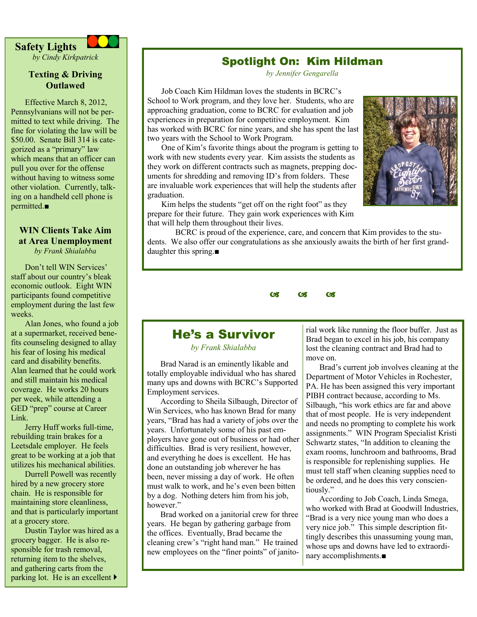

*by Cindy Kirkpatrick*

### **Texting & Driving Outlawed**

Effective March 8, 2012, Pennsylvanians will not be permitted to text while driving. The fine for violating the law will be \$50.00. Senate Bill 314 is categorized as a "primary" law which means that an officer can pull you over for the offense without having to witness some other violation. Currently, talking on a handheld cell phone is permitted.■

### **WIN Clients Take Aim at Area Unemployment**  *by Frank Shialabba*

Don't tell WIN Services' staff about our country's bleak economic outlook. Eight WIN participants found competitive employment during the last few weeks.

Alan Jones, who found a job at a supermarket, received benefits counseling designed to allay his fear of losing his medical card and disability benefits. Alan learned that he could work and still maintain his medical coverage. He works 20 hours per week, while attending a GED "prep" course at Career Link.

Jerry Huff works full-time, rebuilding train brakes for a Leetsdale employer. He feels great to be working at a job that utilizes his mechanical abilities.

Durrell Powell was recently hired by a new grocery store chain. He is responsible for maintaining store cleanliness, and that is particularly important at a grocery store.

Dustin Taylor was hired as a grocery bagger. He is also responsible for trash removal, returning item to the shelves, and gathering carts from the parking lot. He is an excellent

## Spotlight On: Kim Hildman

*by Jennifer Gengarella*

Job Coach Kim Hildman loves the students in BCRC's School to Work program, and they love her. Students, who are approaching graduation, come to BCRC for evaluation and job experiences in preparation for competitive employment. Kim has worked with BCRC for nine years, and she has spent the last two years with the School to Work Program.

One of Kim's favorite things about the program is getting to work with new students every year. Kim assists the students as they work on different contracts such as magnets, prepping documents for shredding and removing ID's from folders. These are invaluable work experiences that will help the students after graduation.



Kim helps the students "get off on the right foot" as they prepare for their future. They gain work experiences with Kim that will help them throughout their lives.

BCRC is proud of the experience, care, and concern that Kim provides to the students. We also offer our congratulations as she anxiously awaits the birth of her first granddaughter this spring.■

 $\alpha$   $\alpha$   $\alpha$ 

### He's a Survivor

*by Frank Shialabba*

Brad Narad is an eminently likable and totally employable individual who has shared many ups and downs with BCRC's Supported Employment services.

According to Sheila Silbaugh, Director of Win Services, who has known Brad for many years, "Brad has had a variety of jobs over the years. Unfortunately some of his past employers have gone out of business or had other difficulties. Brad is very resilient, however, and everything he does is excellent. He has done an outstanding job wherever he has been, never missing a day of work. He often must walk to work, and he's even been bitten by a dog. Nothing deters him from his job, however."

Brad worked on a janitorial crew for three years. He began by gathering garbage from the offices. Eventually, Brad became the cleaning crew's "right hand man." He trained new employees on the "finer points" of janitorial work like running the floor buffer. Just as Brad began to excel in his job, his company lost the cleaning contract and Brad had to move on.

Brad's current job involves cleaning at the Department of Motor Vehicles in Rochester, PA. He has been assigned this very important PIBH contract because, according to Ms. Silbaugh, "his work ethics are far and above that of most people. He is very independent and needs no prompting to complete his work assignments." WIN Program Specialist Kristi Schwartz states, "In addition to cleaning the exam rooms, lunchroom and bathrooms, Brad is responsible for replenishing supplies. He must tell staff when cleaning supplies need to be ordered, and he does this very conscientiously."

According to Job Coach, Linda Smega, who worked with Brad at Goodwill Industries. "Brad is a very nice young man who does a very nice job." This simple description fittingly describes this unassuming young man, whose ups and downs have led to extraordinary accomplishments.■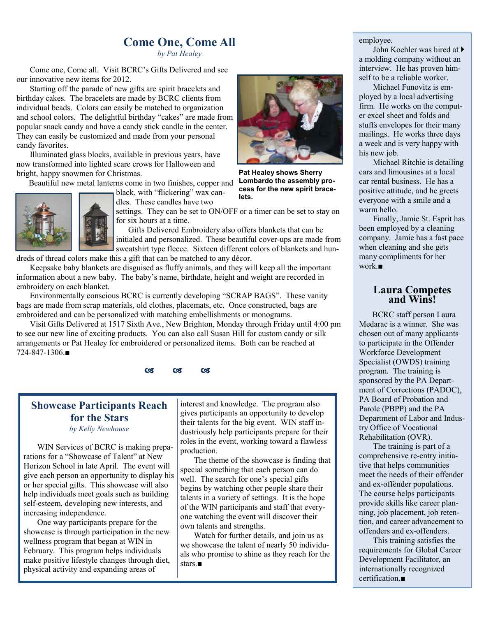# **Come One, Come All**

*by Pat Healey*

Come one, Come all. Visit BCRC's Gifts Delivered and see our innovative new items for 2012.

Starting off the parade of new gifts are spirit bracelets and birthday cakes. The bracelets are made by BCRC clients from individual beads. Colors can easily be matched to organization and school colors. The delightful birthday "cakes" are made from popular snack candy and have a candy stick candle in the center. They can easily be customized and made from your personal candy favorites.

Illuminated glass blocks, available in previous years, have now transformed into lighted scare crows for Halloween and bright, happy snowmen for Christmas.

Beautiful new metal lanterns come in two finishes, copper and

black, with "flickering" wax candles. These candles have two

settings. They can be set to ON/OFF or a timer can be set to stay on for six hours at a time.

**lets.**

 Gifts Delivered Embroidery also offers blankets that can be initialed and personalized. These beautiful cover-ups are made from sweatshirt type fleece. Sixteen different colors of blankets and hun-

dreds of thread colors make this a gift that can be matched to any décor.

Keepsake baby blankets are disguised as fluffy animals, and they will keep all the important information about a new baby. The baby's name, birthdate, height and weight are recorded in embroidery on each blanket.

Environmentally conscious BCRC is currently developing "SCRAP BAGS". These vanity bags are made from scrap materials, old clothes, placemats, etc. Once constructed, bags are embroidered and can be personalized with matching embellishments or monograms.

Visit Gifts Delivered at 1517 Sixth Ave., New Brighton, Monday through Friday until 4:00 pm to see our new line of exciting products. You can also call Susan Hill for custom candy or silk arrangements or Pat Healey for embroidered or personalized items. Both can be reached at 724-847-1306.■



# **Showcase Participants Reach for the Stars**

*by Kelly Newhouse*

WIN Services of BCRC is making preparations for a "Showcase of Talent" at New Horizon School in late April. The event will give each person an opportunity to display his or her special gifts. This showcase will also help individuals meet goals such as building self-esteem, developing new interests, and increasing independence.

One way participants prepare for the showcase is through participation in the new wellness program that began at WIN in February. This program helps individuals make positive lifestyle changes through diet, physical activity and expanding areas of

interest and knowledge. The program also gives participants an opportunity to develop their talents for the big event. WIN staff industriously help participants prepare for their roles in the event, working toward a flawless production.

The theme of the showcase is finding that special something that each person can do well. The search for one's special gifts begins by watching other people share their talents in a variety of settings. It is the hope of the WIN participants and staff that everyone watching the event will discover their own talents and strengths.

Watch for further details, and join us as we showcase the talent of nearly 50 individuals who promise to shine as they reach for the stars.■

#### employee.

John Koehler was hired at a molding company without an interview. He has proven himself to be a reliable worker.

Michael Funovitz is employed by a local advertising firm. He works on the computer excel sheet and folds and stuffs envelopes for their many mailings. He works three days a week and is very happy with his new job.

Michael Ritchie is detailing cars and limousines at a local car rental business. He has a positive attitude, and he greets everyone with a smile and a warm hello.

Finally, Jamie St. Esprit has been employed by a cleaning company. Jamie has a fast pace when cleaning and she gets many compliments for her work.■

### **Laura Competes and Wins!**

BCRC staff person Laura Medarac is a winner. She was chosen out of many applicants to participate in the Offender Workforce Development Specialist (OWDS) training program. The training is sponsored by the PA Department of Corrections (PADOC), PA Board of Probation and Parole (PBPP) and the PA Department of Labor and Industry Office of Vocational Rehabilitation (OVR).

The training is part of a comprehensive re-entry initiative that helps communities meet the needs of their offender and ex-offender populations. The course helps participants provide skills like career planning, job placement, job retention, and career advancement to offenders and ex-offenders.

This training satisfies the requirements for Global Career Development Facilitator, an internationally recognized certification.■



**Lombardo the assembly process for the new spirit brace-**